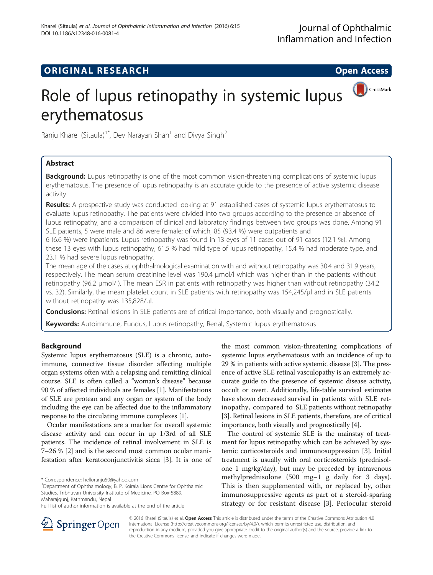## **ORIGINAL RESEARCH CONSUMING ACCESS**



# Role of lupus retinopathy in systemic lupus erythematosus

Ranju Kharel (Sitaula)<sup>1\*</sup>, Dev Narayan Shah<sup>1</sup> and Divya Singh<sup>2</sup>

## Abstract

Background: Lupus retinopathy is one of the most common vision-threatening complications of systemic lupus erythematosus. The presence of lupus retinopathy is an accurate guide to the presence of active systemic disease activity.

**Results:** A prospective study was conducted looking at 91 established cases of systemic lupus erythematosus to evaluate lupus retinopathy. The patients were divided into two groups according to the presence or absence of lupus retinopathy, and a comparison of clinical and laboratory findings between two groups was done. Among 91 SLE patients, 5 were male and 86 were female; of which, 85 (93.4 %) were outpatients and

6 (6.6 %) were inpatients. Lupus retinopathy was found in 13 eyes of 11 cases out of 91 cases (12.1 %). Among these 13 eyes with lupus retinopathy, 61.5 % had mild type of lupus retinopathy, 15.4 % had moderate type, and 23.1 % had severe lupus retinopathy.

The mean age of the cases at ophthalmological examination with and without retinopathy was 30.4 and 31.9 years, respectively. The mean serum creatinine level was 190.4 μmol/l which was higher than in the patients without retinopathy (96.2 μmol/l). The mean ESR in patients with retinopathy was higher than without retinopathy (34.2 vs. 32). Similarly, the mean platelet count in SLE patients with retinopathy was 154,245/μl and in SLE patients without retinopathy was 135,828/μl.

**Conclusions:** Retinal lesions in SLE patients are of critical importance, both visually and prognostically.

Keywords: Autoimmune, Fundus, Lupus retinopathy, Renal, Systemic lupus erythematosus

## Background

Systemic lupus erythematosus (SLE) is a chronic, autoimmune, connective tissue disorder affecting multiple organ systems often with a relapsing and remitting clinical course. SLE is often called a "woman's disease" because 90 % of affected individuals are females [\[1\]](#page-3-0). Manifestations of SLE are protean and any organ or system of the body including the eye can be affected due to the inflammatory response to the circulating immune complexes [\[1](#page-3-0)].

Ocular manifestations are a marker for overall systemic disease activity and can occur in up 1/3rd of all SLE patients. The incidence of retinal involvement in SLE is 7–26 % [[2\]](#page-3-0) and is the second most common ocular manifestation after keratoconjunctivitis sicca [[3](#page-3-0)]. It is one of

Department of Ophthalmology, B. P. Koirala Lions Centre for Ophthalmic Studies, Tribhuvan University Institute of Medicine, PO Box-5889, Maharajgunj, Kathmandu, Nepal

the most common vision-threatening complications of systemic lupus erythematosus with an incidence of up to 29 % in patients with active systemic disease [\[3\]](#page-3-0). The presence of active SLE retinal vasculopathy is an extremely accurate guide to the presence of systemic disease activity, occult or overt. Additionally, life-table survival estimates have shown decreased survival in patients with SLE retinopathy, compared to SLE patients without retinopathy [[3\]](#page-3-0). Retinal lesions in SLE patients, therefore, are of critical importance, both visually and prognostically [[4\]](#page-3-0).

The control of systemic SLE is the mainstay of treatment for lupus retinopathy which can be achieved by systemic corticosteroids and immunosuppression [\[3](#page-3-0)]. Initial treatment is usually with oral corticosteroids (prednisolone 1 mg/kg/day), but may be preceded by intravenous methylprednisolone (500 mg–1 g daily for 3 days). This is then supplemented with, or replaced by, other immunosuppressive agents as part of a steroid-sparing strategy or for resistant disease [\[3](#page-3-0)]. Periocular steroid



© 2016 Kharel (Sitaula) et al. **Open Access** This article is distributed under the terms of the Creative Commons Attribution 4.0 International License ([http://creativecommons.org/licenses/by/4.0/\)](http://creativecommons.org/licenses/by/4.0/), which permits unrestricted use, distribution, and reproduction in any medium, provided you give appropriate credit to the original author(s) and the source, provide a link to the Creative Commons license, and indicate if changes were made.

<sup>\*</sup> Correspondence: [helloranju50@yahoo.com](mailto:helloranju50@yahoo.com) <sup>1</sup>

Full list of author information is available at the end of the article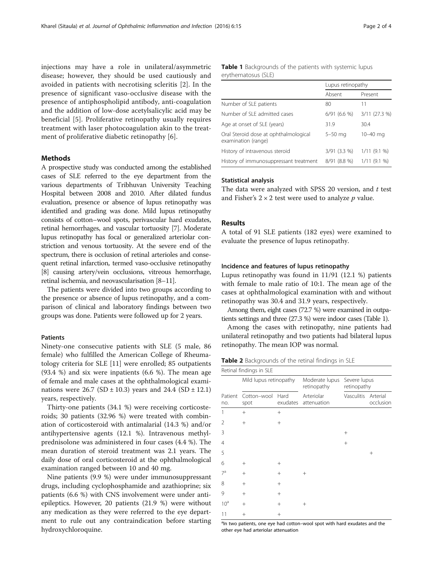<span id="page-1-0"></span>injections may have a role in unilateral/asymmetric disease; however, they should be used cautiously and avoided in patients with necrotising scleritis [[2\]](#page-3-0). In the presence of significant vaso-occlusive disease with the presence of antiphospholipid antibody, anti-coagulation and the addition of low-dose acetylsalicylic acid may be beneficial [\[5](#page-3-0)]. Proliferative retinopathy usually requires treatment with laser photocoagulation akin to the treatment of proliferative diabetic retinopathy [[6\]](#page-3-0).

#### Methods

A prospective study was conducted among the established cases of SLE referred to the eye department from the various departments of Tribhuvan University Teaching Hospital between 2008 and 2010. After dilated fundus evaluation, presence or absence of lupus retinopathy was identified and grading was done. Mild lupus retinopathy consists of cotton–wool spots, perivascular hard exudates, retinal hemorrhages, and vascular tortuosity [\[7\]](#page-3-0). Moderate lupus retinopathy has focal or generalized arteriolar constriction and venous tortuosity. At the severe end of the spectrum, there is occlusion of retinal arterioles and consequent retinal infarction, termed vaso-occlusive retinopathy [[8](#page-3-0)] causing artery/vein occlusions, vitreous hemorrhage, retinal ischemia, and neovascularisation [\[8](#page-3-0)–[11](#page-3-0)].

The patients were divided into two groups according to the presence or absence of lupus retinopathy, and a comparison of clinical and laboratory findings between two groups was done. Patients were followed up for 2 years.

#### **Patients**

Ninety-one consecutive patients with SLE (5 male, 86 female) who fulfilled the American College of Rheumatology criteria for SLE [\[11](#page-3-0)] were enrolled; 85 outpatients (93.4 %) and six were inpatients (6.6 %). The mean age of female and male cases at the ophthalmological examinations were  $26.7$  (SD  $\pm$  10.3) years and  $24.4$  (SD  $\pm$  12.1) years, respectively.

Thirty-one patients (34.1 %) were receiving corticosteroids; 30 patients (32.96 %) were treated with combination of corticosteroid with antimalarial (14.3 %) and/or antihypertensive agents (12.1 %). Intravenous methylprednisolone was administered in four cases (4.4 %). The mean duration of steroid treatment was 2.1 years. The daily dose of oral corticosteroid at the ophthalmological examination ranged between 10 and 40 mg.

Nine patients (9.9 %) were under immunosuppressant drugs, including cyclophosphamide and azathioprine; six patients (6.6 %) with CNS involvement were under antiepileptics. However, 20 patients (21.9 %) were without any medication as they were referred to the eye department to rule out any contraindication before starting hydroxychloroquine.

| <b>Table 1</b> Backgrounds of the patients with systemic lupus |  |  |  |
|----------------------------------------------------------------|--|--|--|
| erythematosus (SLE)                                            |  |  |  |

|                                                              | Lupus retinopathy |               |
|--------------------------------------------------------------|-------------------|---------------|
|                                                              | Absent            | Present       |
| Number of SLE patients                                       | 80                | 11            |
| Number of SLE admitted cases                                 | $6/91(6.6\%)$     | 3/11 (27.3 %) |
| Age at onset of SLE (years)                                  | 31.9              | 30.4          |
| Oral Steroid dose at ophthalmological<br>examination (range) | $5-50$ mg         | $10 - 40$ mg  |
| History of intravenous steroid                               | $3/91$ (3.3 %)    | 1/11(9.1%     |
| History of immunosuppressant treatment                       | 8/91 (8.8 %)      | 1/11(9.1%     |

#### Statistical analysis

The data were analyzed with SPSS 20 version, and  $t$  test and Fisher's  $2 \times 2$  test were used to analyze p value.

## Results

A total of 91 SLE patients (182 eyes) were examined to evaluate the presence of lupus retinopathy.

#### Incidence and features of lupus retinopathy

Lupus retinopathy was found in 11/91 (12.1 %) patients with female to male ratio of 10:1. The mean age of the cases at ophthalmological examination with and without retinopathy was 30.4 and 31.9 years, respectively.

Among them, eight cases (72.7 %) were examined in outpatients settings and three (27.3 %) were indoor cases (Table 1).

Among the cases with retinopathy, nine patients had unilateral retinopathy and two patients had bilateral lupus retinopathy. The mean IOP was normal.

Table 2 Backgrounds of the retinal findings in SLE

| Retinal findings in SLE |                        |                  |                               |                             |                       |
|-------------------------|------------------------|------------------|-------------------------------|-----------------------------|-----------------------|
|                         | Mild lupus retinopathy |                  | Moderate lupus<br>retinopathy | Severe lupus<br>retinopathy |                       |
| Patient<br>no.          | Cotton-wool<br>spot    | Hard<br>exudates | Arteriolar<br>attenuation     | Vasculitis                  | Arterial<br>occlusion |
| 1                       | $+$                    | $^{+}$           |                               |                             |                       |
| 2                       | $^{+}$                 | $^{+}$           |                               |                             |                       |
| 3                       |                        |                  |                               | $^{+}$                      |                       |
| $\overline{4}$          |                        |                  |                               | $+$                         |                       |
| 5                       |                        |                  |                               |                             | $^{+}$                |
| 6                       | $^{+}$                 | $^{+}$           |                               |                             |                       |
| 7 <sup>a</sup>          | $^{+}$                 | $^{+}$           | $\pm$                         |                             |                       |
| 8                       | $^{+}$                 | $^{+}$           |                               |                             |                       |
| 9                       | $^{+}$                 | $^{+}$           |                               |                             |                       |
| 10 <sup>a</sup>         | $+$                    | $^{+}$           | $^+$                          |                             |                       |
| 11                      | $^{+}$                 | $^{+}$           |                               |                             |                       |

<sup>a</sup>In two patients, one eye had cotton-wool spot with hard exudates and the other eye had arteriolar attenuation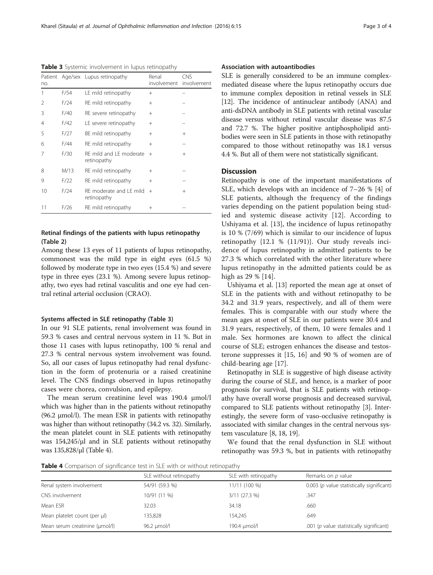Table 3 Systemic involvement in lupus retinopathy

| no.            |      | Patient Age/sex Lupus retinopathy      | Renal<br>involvement | <b>CNS</b><br>involvement |
|----------------|------|----------------------------------------|----------------------|---------------------------|
| 1              | F/54 | LE mild retinopathy                    | $^{+}$               |                           |
| 2              | F/24 | RE mild retinopathy                    | $^{+}$               |                           |
| 3              | F/40 | RE severe retinopathy                  | $+$                  |                           |
| $\overline{4}$ | F/42 | LE severe retinopathy                  | $^{+}$               |                           |
| 5              | F/27 | BE mild retinopathy                    | $^{+}$               | $^{+}$                    |
| 6              | F/44 | RE mild retinopathy                    | $^{+}$               |                           |
| 7              | F/30 | RF mild and LE moderate<br>retinopathy | $+$                  | $^{+}$                    |
| 8              | M/13 | RE mild retinopathy                    | $^{+}$               |                           |
| 9              | F/22 | RE mild retinopathy                    | $^{+}$               |                           |
| 10             | F/24 | RF moderate and LE mild<br>retinopathy | $+$                  | $^{+}$                    |
| 11             | F/26 | RE mild retinopathy                    | $^+$                 |                           |

## Retinal findings of the patients with lupus retinopathy (Table [2\)](#page-1-0)

Among these 13 eyes of 11 patients of lupus retinopathy, commonest was the mild type in eight eyes (61.5 %) followed by moderate type in two eyes (15.4 %) and severe type in three eyes (23.1 %). Among severe lupus retinopathy, two eyes had retinal vasculitis and one eye had central retinal arterial occlusion (CRAO).

#### Systems affected in SLE retinopathy (Table 3)

In our 91 SLE patients, renal involvement was found in 59.3 % cases and central nervous system in 11 %. But in those 11 cases with lupus retinopathy, 100 % renal and 27.3 % central nervous system involvement was found. So, all our cases of lupus retinopathy had renal dysfunction in the form of protenuria or a raised creatinine level. The CNS findings observed in lupus retinopathy cases were chorea, convulsion, and epilepsy.

The mean serum creatinine level was 190.4 μmol/l which was higher than in the patients without retinopathy (96.2 μmol/l). The mean ESR in patients with retinopathy was higher than without retinopathy (34.2 vs. 32). Similarly, the mean platelet count in SLE patients with retinopathy was 154,245/μl and in SLE patients without retinopathy was 135,828/μl (Table 4).

## Association with autoantibodies

SLE is generally considered to be an immune complexmediated disease where the lupus retinopathy occurs due to immune complex deposition in retinal vessels in SLE [[12](#page-3-0)]. The incidence of antinuclear antibody (ANA) and anti-dsDNA antibody in SLE patients with retinal vascular disease versus without retinal vascular disease was 87.5 and 72.7 %. The higher positive antiphospholipid antibodies were seen in SLE patients in those with retinopathy compared to those without retinopathy was 18.1 versus 4.4 %. But all of them were not statistically significant.

## **Discussion**

Retinopathy is one of the important manifestations of SLE, which develops with an incidence of 7–26 % [\[4\]](#page-3-0) of SLE patients, although the frequency of the findings varies depending on the patient population being studied and systemic disease activity [[12\]](#page-3-0). According to Ushiyama et al. [[13\]](#page-3-0), the incidence of lupus retinopathy is 10 % (7/69) which is similar to our incidence of lupus retinopathy {12.1 % (11/91)}. Our study reveals incidence of lupus retinopathy in admitted patients to be 27.3 % which correlated with the other literature where lupus retinopathy in the admitted patients could be as high as 29 % [\[14](#page-3-0)].

Ushiyama et al. [\[13](#page-3-0)] reported the mean age at onset of SLE in the patients with and without retinopathy to be 34.2 and 31.9 years, respectively, and all of them were females. This is comparable with our study where the mean ages at onset of SLE in our patients were 30.4 and 31.9 years, respectively, of them, 10 were females and 1 male. Sex hormones are known to affect the clinical course of SLE; estrogen enhances the disease and testosterone suppresses it [\[15, 16\]](#page-3-0) and 90 % of women are of child-bearing age [\[17\]](#page-3-0).

Retinopathy in SLE is suggestive of high disease activity during the course of SLE, and hence, is a marker of poor prognosis for survival, that is SLE patients with retinopathy have overall worse prognosis and decreased survival, compared to SLE patients without retinopathy [\[3\]](#page-3-0). Interestingly, the severe form of vaso-occlusive retinopathy is associated with similar changes in the central nervous system vasculature [[8](#page-3-0), [18, 19](#page-3-0)].

We found that the renal dysfunction in SLE without retinopathy was 59.3 %, but in patients with retinopathy

**Table 4** Comparison of significance test in SLE with or without retinopathy

|                                | SLE without retinopathy | SLE with retinopathy | Remarks on p value                          |  |
|--------------------------------|-------------------------|----------------------|---------------------------------------------|--|
| Renal system involvement       | 54/91 (59.3 %)          | 11/11 (100 %)        | $0.003$ (p value statistically significant) |  |
| CNS involvement                | 10/91 (11 %)            | $3/11$ (27.3 %)      | .347                                        |  |
| Mean ESR                       | 32.03                   | 34.18                | .660                                        |  |
| Mean platelet count (per µl)   | 135,828                 | 154.245              | .649                                        |  |
| Mean serum creatinine (umol/l) | 96.2 umol/l             | 190.4 umol/l         | .001 ( $p$ value statistically significant) |  |